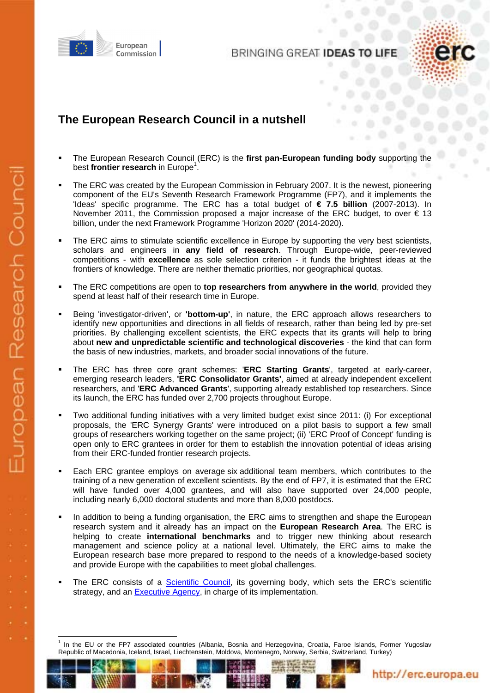

BRINGING GREAT IDEAS TO



#### **The European Research Council in a nutshell**

- The European Research Council (ERC) is the **first pan-European funding body** supporting the best frontier research in Europe<sup>1</sup>.
- The ERC was created by the European Commission in February 2007. It is the newest, pioneering component of the EU's Seventh Research Framework Programme (FP7), and it implements the 'Ideas' specific programme. The ERC has a total budget of **€ 7.5 billion** (2007-2013). In November 2011, the Commission proposed a major increase of the ERC budget, to over  $\epsilon$  13 billion, under the next Framework Programme 'Horizon 2020' (2014-2020).
- The ERC aims to stimulate scientific excellence in Europe by supporting the very best scientists, scholars and engineers in **any field of research**. Through Europe-wide, peer-reviewed competitions - with **excellence** as sole selection criterion - it funds the brightest ideas at the frontiers of knowledge. There are neither thematic priorities, nor geographical quotas.
- The ERC competitions are open to **top researchers from anywhere in the world**, provided they spend at least half of their research time in Europe.
- Being 'investigator-driven', or **'bottom-up'**, in nature, the ERC approach allows researchers to identify new opportunities and directions in all fields of research, rather than being led by pre-set priorities. By challenging excellent scientists, the ERC expects that its grants will help to bring about **new and unpredictable scientific and technological discoveries** - the kind that can form the basis of new industries, markets, and broader social innovations of the future.
- The ERC has three core grant schemes: '**ERC Starting Grants**', targeted at early-career, emerging research leaders, **'ERC Consolidator Grants'**, aimed at already independent excellent researchers, and '**ERC Advanced Grants**', supporting already established top researchers. Since its launch, the ERC has funded over 2,700 projects throughout Europe.
- Two additional funding initiatives with a very limited budget exist since 2011: (i) For exceptional proposals, the 'ERC Synergy Grants' were introduced on a pilot basis to support a few small groups of researchers working together on the same project; (ii) 'ERC Proof of Concept' funding is open only to ERC grantees in order for them to establish the innovation potential of ideas arising from their ERC-funded frontier research projects.
- Each ERC grantee employs on average six additional team members, which contributes to the training of a new generation of excellent scientists. By the end of FP7, it is estimated that the ERC will have funded over 4,000 grantees, and will also have supported over 24,000 people, including nearly 6,000 doctoral students and more than 8,000 postdocs.
- In addition to being a funding organisation, the ERC aims to strengthen and shape the European research system and it already has an impact on the **European Research Area**. The ERC is helping to create **international benchmarks** and to trigger new thinking about research management and science policy at a national level. Ultimately, the ERC aims to make the European research base more prepared to respond to the needs of a knowledge-based society and provide Europe with the capabilities to meet global challenges.
- The ERC consists of a [Scientific Council,](http://erc.europa.eu/about-erc/organisation) its governing body, which sets the ERC's scientific strategy, and an **Executive Agency**, in charge of its implementation.



<sup>1</sup> 1 In the EU or the FP7 associated countries (Albania, Bosnia and Herzegovina, Croatia, Faroe Islands, Former Yugoslav Republic of Macedonia, Iceland, Israel, Liechtenstein, Moldova, Montenegro, Norway, Serbia, Switzerland, Turkey)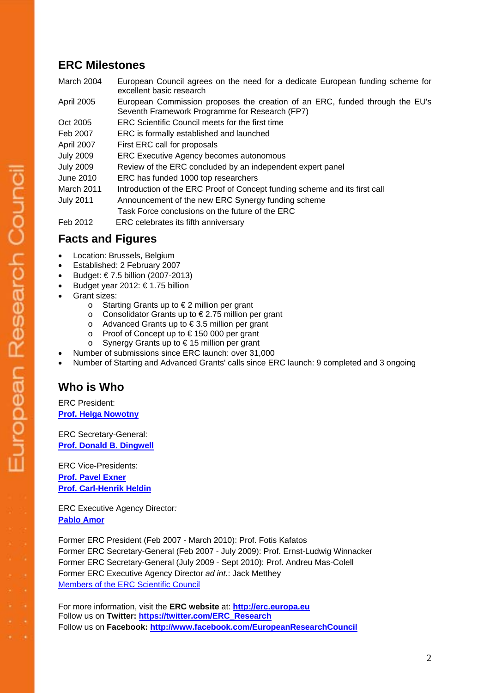## **ERC Milestones**

| March 2004        | European Council agrees on the need for a dedicate European funding scheme for<br>excellent basic research                     |
|-------------------|--------------------------------------------------------------------------------------------------------------------------------|
| <b>April 2005</b> | European Commission proposes the creation of an ERC, funded through the EU's<br>Seventh Framework Programme for Research (FP7) |
| Oct 2005          | ERC Scientific Council meets for the first time                                                                                |
| Feb 2007          | ERC is formally established and launched                                                                                       |
| April 2007        | First ERC call for proposals                                                                                                   |
| <b>July 2009</b>  | ERC Executive Agency becomes autonomous                                                                                        |
| <b>July 2009</b>  | Review of the ERC concluded by an independent expert panel                                                                     |
| June 2010         | ERC has funded 1000 top researchers                                                                                            |
| March 2011        | Introduction of the ERC Proof of Concept funding scheme and its first call                                                     |
| <b>July 2011</b>  | Announcement of the new ERC Synergy funding scheme                                                                             |
|                   | Task Force conclusions on the future of the ERC                                                                                |
| Feb 2012          | ERC celebrates its fifth anniversary                                                                                           |
|                   |                                                                                                                                |

# **Facts and Figures**

- Location: Brussels, Belgium
- Established: 2 February 2007
- Budget: € 7.5 billion (2007-2013)
- Budget year 2012:  $\epsilon$  1.75 billion
- Grant sizes:
	- o Starting Grants up to € 2 million per grant
	- o Consolidator Grants up to € 2.75 million per grant
	- o Advanced Grants up to € 3.5 million per grant
	- o Proof of Concept up to € 150 000 per grant
	- o Synergy Grants up to € 15 million per grant
	- Number of submissions since ERC launch: over 31,000
- Number of Starting and Advanced Grants' calls since ERC launch: 9 completed and 3 ongoing

#### **Who is Who**

ERC President: **[Prof. Helga Nowotny](http://erc.europa.eu/about-erc/organisation)**

ERC Secretary-General: **[Prof. Donald B. Dingwell](http://erc.europa.eu/about-erc/organisation)**

ERC Vice-Presidents: **[Prof. Pavel Exner](http://erc.europa.eu/about-erc/organisation)  [Prof. Carl-Henrik Heldin](http://erc.europa.eu/about-erc/organisation)**

ERC Executive Agency Director*:* **[Pablo](http://erc.europa.eu/about-erc/organisation) Amor**

Former ERC President (Feb 2007 - March 2010): Prof. Fotis Kafatos Former ERC Secretary-General (Feb 2007 - July 2009): Prof. Ernst-Ludwig Winnacker Former ERC Secretary-General (July 2009 - Sept 2010): Prof. Andreu Mas-Colell Former ERC Executive Agency Director *ad int.*: Jack Metthey [Members of the ERC Scientific Council](http://erc.europa.eu/about-erc/organisation)

For more information, visit the **ERC website** at: **[http://erc.europa.eu](http://erc.europa.eu/)** Follow us on **Twitter[: https://twitter.com/ERC\\_Research](https://twitter.com/ERC_Research)** Follow us on **Facebook[: http://www.facebook.com/EuropeanResearchCouncil](http://www.facebook.com/EuropeanResearchCouncil)**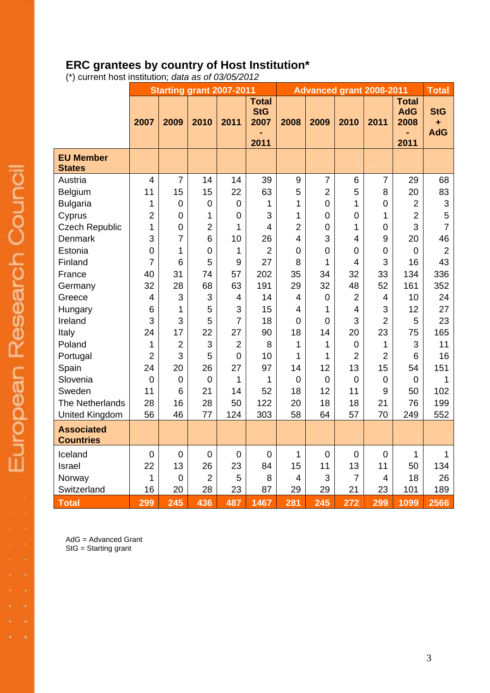## **ERC grantees by country of Host Institution\***

(\*) current host institution; *data as of 03/05/2012*

|                                       | <b>Starting grant 2007-2011</b> |                |                |                |                                            | <b>Advanced grant 2008-2011</b> |                |                |                |                                            | <b>Total</b>                  |
|---------------------------------------|---------------------------------|----------------|----------------|----------------|--------------------------------------------|---------------------------------|----------------|----------------|----------------|--------------------------------------------|-------------------------------|
|                                       | 2007                            | 2009           | 2010           | 2011           | <b>Total</b><br><b>StG</b><br>2007<br>2011 | 2008                            | 2009           | 2010           | 2011           | <b>Total</b><br><b>AdG</b><br>2008<br>2011 | <b>StG</b><br>٠<br><b>AdG</b> |
| <b>EU Member</b><br><b>States</b>     |                                 |                |                |                |                                            |                                 |                |                |                |                                            |                               |
| Austria                               | $\overline{4}$                  | 7              | 14             | 14             | 39                                         | 9                               | $\overline{7}$ | 6              | $\overline{7}$ | 29                                         | 68                            |
| Belgium                               | 11                              | 15             | 15             | 22             | 63                                         | 5                               | $\overline{2}$ | 5              | 8              | 20                                         | 83                            |
| <b>Bulgaria</b>                       | 1                               | $\mathbf 0$    | $\mathbf 0$    | $\mathbf 0$    | 1                                          | $\mathbf{1}$                    | $\overline{0}$ | 1              | $\mathbf 0$    | $\overline{2}$                             | $\ensuremath{\mathsf{3}}$     |
| Cyprus                                | $\overline{2}$                  | $\mathbf 0$    | 1              | $\mathbf 0$    | 3                                          | 1                               | $\overline{0}$ | $\mathbf 0$    | 1              | $\overline{2}$                             | 5                             |
| <b>Czech Republic</b>                 | 1                               | $\mathbf 0$    | $\overline{2}$ | 1              | 4                                          | $\overline{2}$                  | $\overline{0}$ | 1              | $\overline{0}$ | 3                                          | $\overline{7}$                |
| <b>Denmark</b>                        | 3                               | $\overline{7}$ | 6              | 10             | 26                                         | 4                               | 3              | $\overline{4}$ | 9              | 20                                         | 46                            |
| Estonia                               | $\overline{0}$                  | 1              | $\mathbf 0$    | 1              | $\overline{2}$                             | $\overline{0}$                  | $\overline{0}$ | $\mathbf 0$    | $\mathbf 0$    | $\mathbf 0$                                | $\overline{2}$                |
| Finland                               | 7                               | 6              | 5              | 9              | 27                                         | 8                               | 1              | $\overline{4}$ | 3              | 16                                         | 43                            |
| France                                | 40                              | 31             | 74             | 57             | 202                                        | 35                              | 34             | 32             | 33             | 134                                        | 336                           |
| Germany                               | 32                              | 28             | 68             | 63             | 191                                        | 29                              | 32             | 48             | 52             | 161                                        | 352                           |
| Greece                                | $\overline{4}$                  | 3              | 3              | 4              | 14                                         | $\overline{4}$                  | $\mathbf 0$    | $\overline{2}$ | 4              | 10                                         | 24                            |
| Hungary                               | 6                               | 1              | 5              | 3              | 15                                         | 4                               | 1              | 4              | 3              | 12                                         | 27                            |
| Ireland                               | 3                               | 3              | 5              | $\overline{7}$ | 18                                         | $\mathbf 0$                     | $\mathbf 0$    | 3              | $\overline{2}$ | 5                                          | 23                            |
| Italy                                 | 24                              | 17             | 22             | 27             | 90                                         | 18                              | 14             | 20             | 23             | 75                                         | 165                           |
| Poland                                | 1                               | $\overline{2}$ | 3              | $\overline{2}$ | 8                                          | 1                               | 1              | $\mathbf 0$    | 1              | 3                                          | 11                            |
| Portugal                              | $\overline{2}$                  | 3              | 5              | $\overline{0}$ | 10                                         | $\mathbf{1}$                    | 1              | $\overline{2}$ | $\overline{2}$ | 6                                          | 16                            |
| Spain                                 | 24                              | 20             | 26             | 27             | 97                                         | 14                              | 12             | 13             | 15             | 54                                         | 151                           |
| Slovenia                              | $\mathbf 0$                     | $\mathbf 0$    | $\mathbf 0$    | 1              | 1                                          | $\mathbf 0$                     | $\overline{0}$ | $\mathbf 0$    | $\overline{0}$ | $\overline{0}$                             | 1                             |
| Sweden                                | 11                              | 6              | 21             | 14             | 52                                         | 18                              | 12             | 11             | 9              | 50                                         | 102                           |
| The Netherlands                       | 28                              | 16             | 28             | 50             | 122                                        | 20                              | 18             | 18             | 21             | 76                                         | 199                           |
| <b>United Kingdom</b>                 | 56                              | 46             | 77             | 124            | 303                                        | 58                              | 64             | 57             | 70             | 249                                        | 552                           |
| <b>Associated</b><br><b>Countries</b> |                                 |                |                |                |                                            |                                 |                |                |                |                                            |                               |
| Iceland                               | $\mathbf 0$                     | $\mathbf 0$    | $\mathbf 0$    | $\overline{0}$ | $\overline{0}$                             | $\mathbf{1}$                    | $\overline{0}$ | $\mathbf 0$    | $\overline{0}$ | 1                                          | 1                             |
| Israel                                | 22                              | 13             | 26             | 23             | 84                                         | 15                              | 11             | 13             | 11             | 50                                         | 134                           |
| Norway                                | 1                               | $\mathbf 0$    | $\overline{2}$ | 5              | 8                                          | $\overline{4}$                  | 3              | $\overline{7}$ | 4              | 18                                         | 26                            |
| Switzerland                           | 16                              | 20             | 28             | 23             | 87                                         | 29                              | 29             | 21             | 23             | 101                                        | 189                           |
| <b>Total</b>                          | 299                             | 245            | 436            | 487            | 1467                                       | 281                             | 245            | 272            | 299            | 1099                                       | 2566                          |

AdG = Advanced Grant StG = Starting grant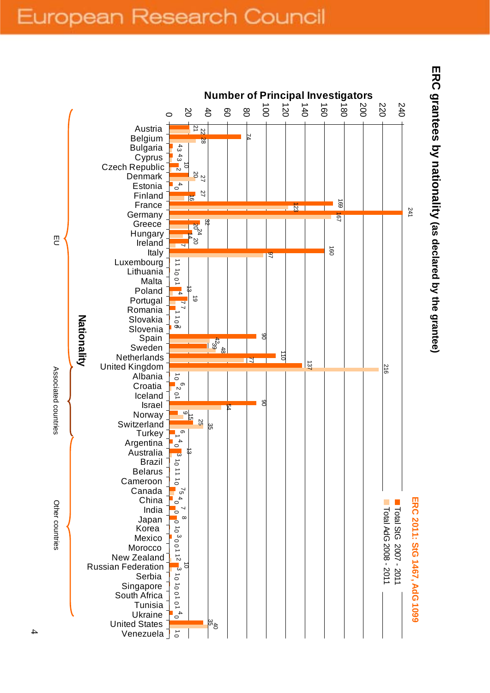# European Research Council



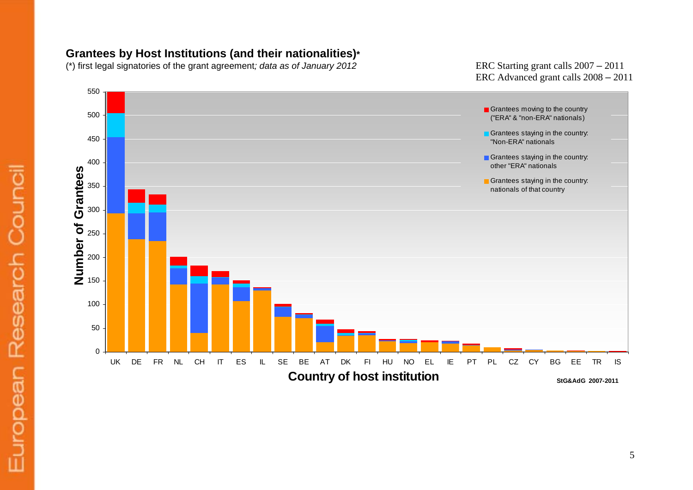#### **Grantees by Host Institutions (and their nationalities)\***

(\*) first legal signatories of the grant agreement; data as of January 2012

– 2011 ERC Advanced grant calls 2008 – 2011